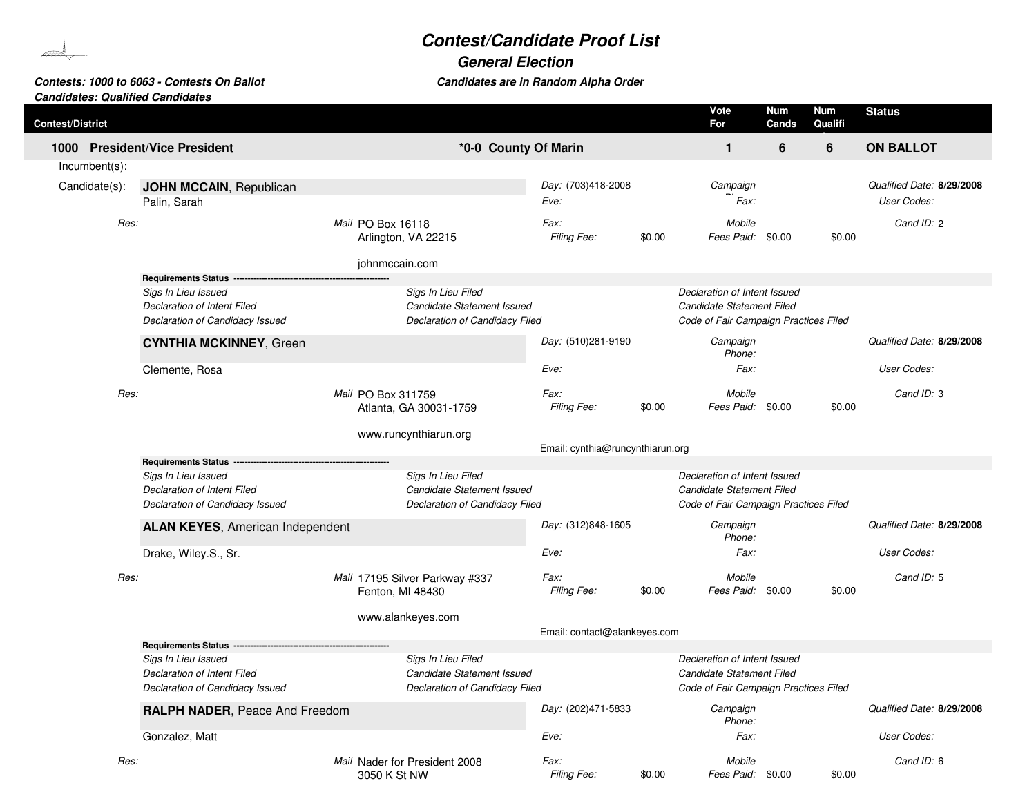## **Contest/Candidate Proof List**

**General Election**

| Contests: 1000 to 6063 - Contests On Ballot | Candidates are in Random Alpha Order |
|---------------------------------------------|--------------------------------------|
| <b>Candidates: Qualified Candidates</b>     |                                      |

| <b>Contest/District</b> |      |                                         |                                                    |                                  |        | Vote<br>For                           | <b>Num</b><br>Cands | <b>Num</b><br>Qualifi | <b>Status</b>             |
|-------------------------|------|-----------------------------------------|----------------------------------------------------|----------------------------------|--------|---------------------------------------|---------------------|-----------------------|---------------------------|
|                         |      | 1000 President/Vice President           | *0-0 County Of Marin                               |                                  |        | $\mathbf{1}$                          | 6                   | 6                     | <b>ON BALLOT</b>          |
| Incumbent(s):           |      |                                         |                                                    |                                  |        |                                       |                     |                       |                           |
| Candidate(s):           |      | <b>JOHN MCCAIN, Republican</b>          |                                                    | Day: (703)418-2008               |        | Campaign                              |                     |                       | Qualified Date: 8/29/2008 |
|                         |      | Palin, Sarah                            |                                                    | Eve:                             |        | Fax:                                  |                     |                       | User Codes:               |
|                         | Res: |                                         | Mail PO Box 16118<br>Arlington, VA 22215           | Fax:<br>Filing Fee:              | \$0.00 | Mobile<br>Fees Paid: \$0.00           |                     | \$0.00                | Cand ID: 2                |
|                         |      |                                         | johnmccain.com                                     |                                  |        |                                       |                     |                       |                           |
|                         |      | Requirements Status --                  |                                                    |                                  |        |                                       |                     |                       |                           |
|                         |      | Sigs In Lieu Issued                     | Sigs In Lieu Filed                                 |                                  |        | Declaration of Intent Issued          |                     |                       |                           |
|                         |      | Declaration of Intent Filed             | Candidate Statement Issued                         |                                  |        | Candidate Statement Filed             |                     |                       |                           |
|                         |      | Declaration of Candidacy Issued         | Declaration of Candidacy Filed                     |                                  |        | Code of Fair Campaign Practices Filed |                     |                       |                           |
|                         |      | <b>CYNTHIA MCKINNEY, Green</b>          |                                                    | Day: (510)281-9190               |        | Campaign<br>Phone:                    |                     |                       | Qualified Date: 8/29/2008 |
|                         |      | Clemente, Rosa                          |                                                    | Eve:                             |        | Fax:                                  |                     |                       | User Codes:               |
|                         | Res: |                                         |                                                    | Fax:                             |        | Mobile                                |                     |                       | Cand ID: 3                |
|                         |      |                                         | Mail PO Box 311759<br>Atlanta, GA 30031-1759       | <b>Filing Fee:</b>               | \$0.00 | Fees Paid: \$0.00                     |                     | \$0.00                |                           |
|                         |      |                                         | www.runcynthiarun.org                              | Email: cynthia@runcynthiarun.org |        |                                       |                     |                       |                           |
|                         |      | <b>Requirements Status</b>              |                                                    |                                  |        |                                       |                     |                       |                           |
|                         |      | Sigs In Lieu Issued                     | Sigs In Lieu Filed                                 |                                  |        | Declaration of Intent Issued          |                     |                       |                           |
|                         |      | Declaration of Intent Filed             | Candidate Statement Issued                         |                                  |        | Candidate Statement Filed             |                     |                       |                           |
|                         |      | Declaration of Candidacy Issued         | Declaration of Candidacy Filed                     |                                  |        | Code of Fair Campaign Practices Filed |                     |                       |                           |
|                         |      | <b>ALAN KEYES, American Independent</b> |                                                    | Day: (312)848-1605               |        | Campaign<br>Phone:                    |                     |                       | Qualified Date: 8/29/2008 |
|                         |      | Drake, Wiley.S., Sr.                    |                                                    | Eve:                             |        | Fax:                                  |                     |                       | User Codes:               |
|                         | Res: |                                         | Mail 17195 Silver Parkway #337<br>Fenton, MI 48430 | Fax:<br>Filing Fee:              | \$0.00 | Mobile<br>Fees Paid: \$0.00           |                     | \$0.00                | Cand ID: 5                |
|                         |      |                                         |                                                    |                                  |        |                                       |                     |                       |                           |
|                         |      |                                         | www.alankeyes.com                                  |                                  |        |                                       |                     |                       |                           |
|                         |      | <b>Requirements Status</b>              |                                                    | Email: contact@alankeyes.com     |        |                                       |                     |                       |                           |
|                         |      | Sigs In Lieu Issued                     | Sigs In Lieu Filed                                 |                                  |        | Declaration of Intent Issued          |                     |                       |                           |
|                         |      | Declaration of Intent Filed             | Candidate Statement Issued                         |                                  |        | Candidate Statement Filed             |                     |                       |                           |
|                         |      | Declaration of Candidacy Issued         | Declaration of Candidacy Filed                     |                                  |        | Code of Fair Campaign Practices Filed |                     |                       |                           |
|                         |      | RALPH NADER, Peace And Freedom          |                                                    | Day: (202)471-5833               |        | Campaign<br>Phone:                    |                     |                       | Qualified Date: 8/29/2008 |
|                         |      | Gonzalez, Matt                          |                                                    | Eve:                             |        | Fax:                                  |                     |                       | User Codes:               |
|                         | Res: |                                         | Mail Nader for President 2008<br>3050 K St NW      | Fax:<br><b>Filing Fee:</b>       | \$0.00 | Mobile<br>Fees Paid: \$0.00           |                     | \$0.00                | Cand ID: 6                |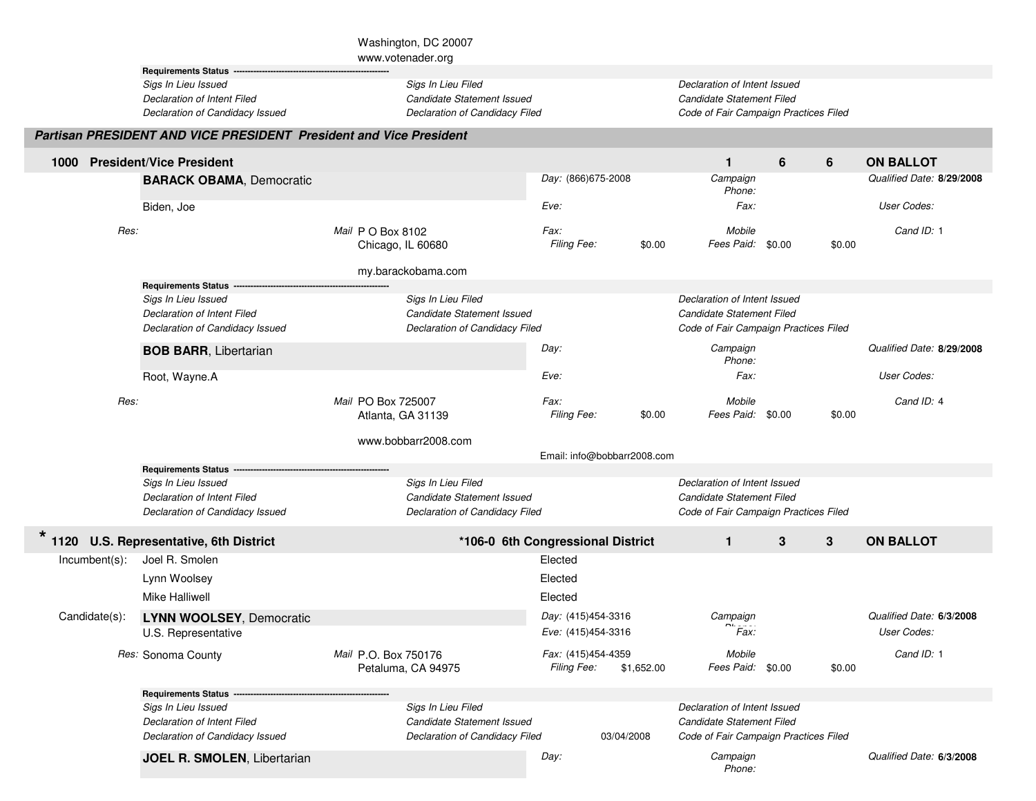|                  |                                                                                       | Washington, DC 20007                                                               |                                   |                             |                                                                                                    |   |        |                           |
|------------------|---------------------------------------------------------------------------------------|------------------------------------------------------------------------------------|-----------------------------------|-----------------------------|----------------------------------------------------------------------------------------------------|---|--------|---------------------------|
|                  | <b>Requirements Status</b>                                                            | www.votenader.org                                                                  |                                   |                             |                                                                                                    |   |        |                           |
|                  | Sigs In Lieu Issued<br>Declaration of Intent Filed<br>Declaration of Candidacy Issued | Sigs In Lieu Filed<br>Candidate Statement Issued<br>Declaration of Candidacy Filed |                                   |                             | Declaration of Intent Issued<br>Candidate Statement Filed<br>Code of Fair Campaign Practices Filed |   |        |                           |
|                  | <b>Partisan PRESIDENT AND VICE PRESIDENT President and Vice President</b>             |                                                                                    |                                   |                             |                                                                                                    |   |        |                           |
| 1000             | <b>President/Vice President</b>                                                       |                                                                                    |                                   |                             | $\mathbf{1}$                                                                                       | 6 | 6      | <b>ON BALLOT</b>          |
|                  | <b>BARACK OBAMA, Democratic</b>                                                       |                                                                                    | Day: (866)675-2008                |                             | Campaign<br>Phone:                                                                                 |   |        | Qualified Date: 8/29/2008 |
|                  | Biden, Joe                                                                            |                                                                                    | Eve:                              |                             | Fax:                                                                                               |   |        | User Codes:               |
| Res:             |                                                                                       | Mail P O Box 8102                                                                  | Fax:                              |                             | Mobile                                                                                             |   |        | Cand ID: 1                |
|                  |                                                                                       | Chicago, IL 60680                                                                  | Filing Fee:                       | \$0.00                      | Fees Paid: \$0.00                                                                                  |   | \$0.00 |                           |
|                  |                                                                                       | my.barackobama.com                                                                 |                                   |                             |                                                                                                    |   |        |                           |
|                  | <b>Requirements Status</b>                                                            |                                                                                    |                                   |                             |                                                                                                    |   |        |                           |
|                  | Sigs In Lieu Issued                                                                   | Sigs In Lieu Filed                                                                 |                                   |                             | Declaration of Intent Issued                                                                       |   |        |                           |
|                  | Declaration of Intent Filed<br>Declaration of Candidacy Issued                        | Candidate Statement Issued<br>Declaration of Candidacy Filed                       |                                   |                             | Candidate Statement Filed<br>Code of Fair Campaign Practices Filed                                 |   |        |                           |
|                  | <b>BOB BARR, Libertarian</b>                                                          |                                                                                    | Day:                              |                             | Campaign                                                                                           |   |        | Qualified Date: 8/29/2008 |
|                  | Root, Wayne.A                                                                         |                                                                                    | Eve:                              |                             | Phone:<br>Fax:                                                                                     |   |        | User Codes:               |
| Res:             |                                                                                       |                                                                                    | Fax:                              |                             | Mobile                                                                                             |   |        | Cand ID: 4                |
|                  |                                                                                       | Mail PO Box 725007<br>Atlanta, GA 31139                                            | <b>Filing Fee:</b>                | \$0.00                      | Fees Paid: \$0.00                                                                                  |   | \$0.00 |                           |
|                  |                                                                                       | www.bobbarr2008.com                                                                |                                   |                             |                                                                                                    |   |        |                           |
|                  |                                                                                       |                                                                                    |                                   | Email: info@bobbarr2008.com |                                                                                                    |   |        |                           |
|                  | <b>Requirements Status</b>                                                            |                                                                                    |                                   |                             | Declaration of Intent Issued                                                                       |   |        |                           |
|                  | Sigs In Lieu Issued<br>Declaration of Intent Filed                                    | Sigs In Lieu Filed<br>Candidate Statement Issued                                   |                                   |                             | Candidate Statement Filed                                                                          |   |        |                           |
|                  | Declaration of Candidacy Issued                                                       | Declaration of Candidacy Filed                                                     |                                   |                             | Code of Fair Campaign Practices Filed                                                              |   |        |                           |
| $\star$<br>1120  | <b>U.S. Representative, 6th District</b>                                              | *106-0 6th Congressional District                                                  |                                   |                             | $\mathbf{1}$                                                                                       | 3 | 3      | <b>ON BALLOT</b>          |
| $Incumbent(s)$ : | Joel R. Smolen                                                                        |                                                                                    | Elected                           |                             |                                                                                                    |   |        |                           |
|                  | Lynn Woolsey                                                                          |                                                                                    | Elected                           |                             |                                                                                                    |   |        |                           |
|                  | Mike Halliwell                                                                        |                                                                                    | Elected                           |                             |                                                                                                    |   |        |                           |
| Candidate(s):    | <b>LYNN WOOLSEY, Democratic</b>                                                       |                                                                                    | Day: (415)454-3316                |                             | Campaign                                                                                           |   |        | Qualified Date: 6/3/2008  |
|                  | U.S. Representative                                                                   |                                                                                    | Eve: (415)454-3316                |                             | Fax:                                                                                               |   |        | User Codes:               |
|                  | Res: Sonoma County                                                                    | Mail P.O. Box 750176<br>Petaluma, CA 94975                                         | Fax: (415)454-4359<br>Filing Fee: | \$1,652.00                  | Mobile<br>Fees Paid: \$0.00                                                                        |   | \$0.00 | Cand ID: 1                |
|                  | <b>Requirements Status</b> .                                                          |                                                                                    |                                   |                             |                                                                                                    |   |        |                           |
|                  | Sigs In Lieu Issued                                                                   | Sigs In Lieu Filed                                                                 |                                   |                             | Declaration of Intent Issued                                                                       |   |        |                           |
|                  | Declaration of Intent Filed<br>Declaration of Candidacy Issued                        | Candidate Statement Issued<br>Declaration of Candidacy Filed                       |                                   | 03/04/2008                  | Candidate Statement Filed<br>Code of Fair Campaign Practices Filed                                 |   |        |                           |
|                  | JOEL R. SMOLEN, Libertarian                                                           |                                                                                    | Day:                              |                             | Campaign                                                                                           |   |        | Qualified Date: 6/3/2008  |
|                  |                                                                                       |                                                                                    |                                   |                             | Phone:                                                                                             |   |        |                           |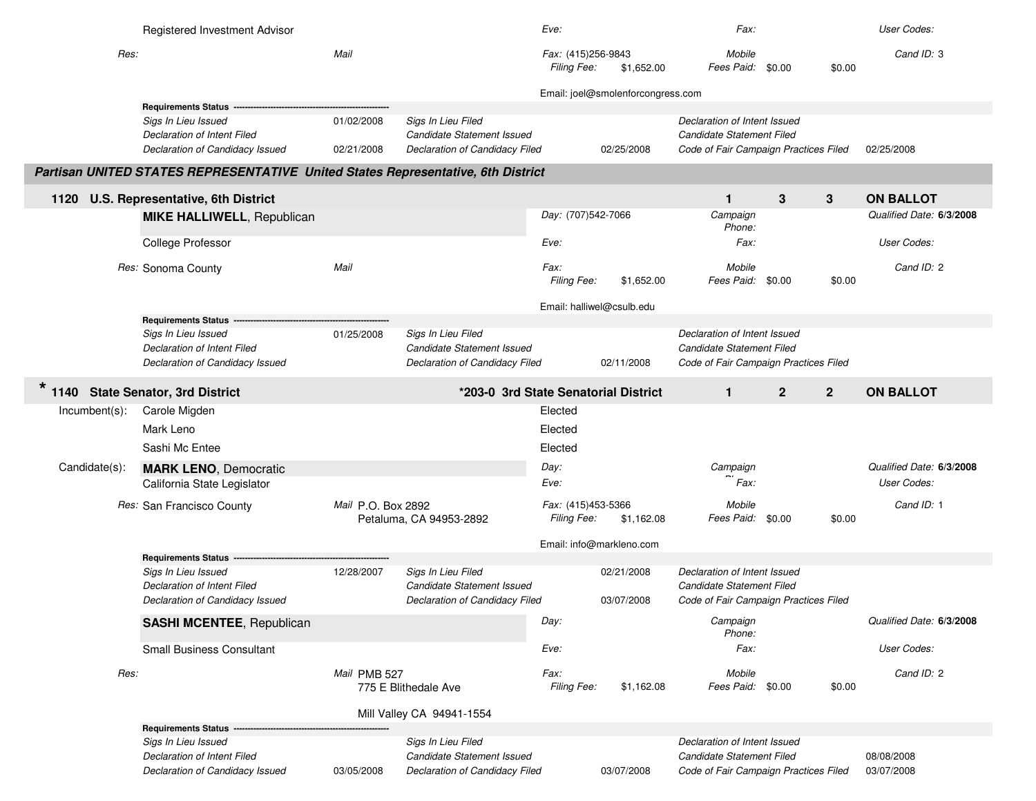|                  | Registered Investment Advisor                                                                                   |                          |                                                                                           | Eve:                              |                                   | Fax:                                                                                               |                                  | <b>User Codes:</b>                             |
|------------------|-----------------------------------------------------------------------------------------------------------------|--------------------------|-------------------------------------------------------------------------------------------|-----------------------------------|-----------------------------------|----------------------------------------------------------------------------------------------------|----------------------------------|------------------------------------------------|
| Res:             |                                                                                                                 | Mail                     |                                                                                           | Fax: (415)256-9843<br>Filing Fee: | \$1,652.00                        | Mobile<br>Fees Paid: \$0.00                                                                        | \$0.00                           | Cand ID: 3                                     |
|                  |                                                                                                                 |                          |                                                                                           |                                   | Email: joel@smolenforcongress.com |                                                                                                    |                                  |                                                |
|                  | Requirements Status --<br>Sigs In Lieu Issued<br>Declaration of Intent Filed<br>Declaration of Candidacy Issued | 01/02/2008<br>02/21/2008 | Sigs In Lieu Filed<br>Candidate Statement Issued<br><b>Declaration of Candidacy Filed</b> |                                   | 02/25/2008                        | Declaration of Intent Issued<br>Candidate Statement Filed<br>Code of Fair Campaign Practices Filed |                                  | 02/25/2008                                     |
|                  | Partisan UNITED STATES REPRESENTATIVE United States Representative, 6th District                                |                          |                                                                                           |                                   |                                   |                                                                                                    |                                  |                                                |
|                  | 1120 U.S. Representative, 6th District                                                                          |                          |                                                                                           |                                   |                                   | $\mathbf{1}$                                                                                       | 3<br>3                           | <b>ON BALLOT</b>                               |
|                  | <b>MIKE HALLIWELL, Republican</b>                                                                               |                          |                                                                                           | Day: (707)542-7066                |                                   | Campaign<br>Phone:                                                                                 |                                  | Qualified Date: 6/3/2008                       |
|                  | College Professor                                                                                               |                          |                                                                                           | Eve:                              |                                   | Fax:                                                                                               |                                  | User Codes:                                    |
|                  | Res: Sonoma County                                                                                              | Mail                     |                                                                                           | Fax:<br>Filing Fee:               | \$1,652.00                        | Mobile<br>Fees Paid: \$0.00                                                                        | \$0.00                           | Cand ID: 2                                     |
|                  | <b>Requirements Status</b>                                                                                      |                          |                                                                                           | Email: halliwel@csulb.edu         |                                   |                                                                                                    |                                  |                                                |
|                  | Sigs In Lieu Issued<br><b>Declaration of Intent Filed</b><br>Declaration of Candidacy Issued                    | 01/25/2008               | Sigs In Lieu Filed<br>Candidate Statement Issued<br>Declaration of Candidacy Filed        |                                   | 02/11/2008                        | Declaration of Intent Issued<br>Candidate Statement Filed<br>Code of Fair Campaign Practices Filed |                                  |                                                |
|                  | 1140 State Senator, 3rd District                                                                                |                          | *203-0 3rd State Senatorial District                                                      |                                   |                                   | $\mathbf{1}$                                                                                       | $\overline{2}$<br>$\overline{2}$ | <b>ON BALLOT</b>                               |
| $Incumbent(s)$ : | Carole Migden                                                                                                   |                          |                                                                                           | Elected                           |                                   |                                                                                                    |                                  |                                                |
|                  | Mark Leno                                                                                                       |                          |                                                                                           | Elected                           |                                   |                                                                                                    |                                  |                                                |
|                  | Sashi Mc Entee                                                                                                  |                          |                                                                                           | Elected                           |                                   |                                                                                                    |                                  |                                                |
| Candidate(s):    | <b>MARK LENO, Democratic</b><br>California State Legislator                                                     |                          |                                                                                           | Day:<br>Eve:                      |                                   | Campaign<br>Fax:                                                                                   |                                  | Qualified Date: 6/3/2008<br><b>User Codes:</b> |
|                  | Res: San Francisco County                                                                                       | Mail P.O. Box 2892       | Petaluma, CA 94953-2892                                                                   | Fax: (415)453-5366<br>Filing Fee: | \$1,162.08                        | Mobile<br>Fees Paid: \$0.00                                                                        | \$0.00                           | Cand ID: 1                                     |
|                  |                                                                                                                 |                          |                                                                                           | Email: info@markleno.com          |                                   |                                                                                                    |                                  |                                                |
|                  | <b>Requirements Status</b>                                                                                      |                          |                                                                                           |                                   |                                   |                                                                                                    |                                  |                                                |
|                  | Sigs In Lieu Issued<br>Declaration of Intent Filed                                                              | 12/28/2007               | Sigs In Lieu Filed<br>Candidate Statement Issued                                          |                                   | 02/21/2008                        | Declaration of Intent Issued<br>Candidate Statement Filed                                          |                                  |                                                |
|                  | Declaration of Candidacy Issued                                                                                 |                          | Declaration of Candidacy Filed                                                            |                                   | 03/07/2008                        | Code of Fair Campaign Practices Filed                                                              |                                  |                                                |
|                  | <b>SASHI MCENTEE, Republican</b>                                                                                |                          |                                                                                           | Day:                              |                                   | Campaign<br>Phone:                                                                                 |                                  | Qualified Date: 6/3/2008                       |
|                  | <b>Small Business Consultant</b>                                                                                |                          |                                                                                           | Eve:                              |                                   | Fax:                                                                                               |                                  | User Codes:                                    |
| Res:             |                                                                                                                 | Mail PMB 527             | 775 E Blithedale Ave                                                                      | Fax:<br>Filing Fee:               | \$1,162.08                        | Mobile<br>Fees Paid: \$0.00                                                                        | \$0.00                           | Cand ID: 2                                     |
|                  |                                                                                                                 |                          | Mill Valley CA 94941-1554                                                                 |                                   |                                   |                                                                                                    |                                  |                                                |
|                  | <b>Requirements Status</b><br>Sigs In Lieu Issued                                                               |                          | Sigs In Lieu Filed                                                                        |                                   |                                   | Declaration of Intent Issued                                                                       |                                  |                                                |
|                  | Declaration of Intent Filed<br>Declaration of Candidacy Issued                                                  | 03/05/2008               | Candidate Statement Issued<br>Declaration of Candidacy Filed                              |                                   | 03/07/2008                        | Candidate Statement Filed<br>Code of Fair Campaign Practices Filed                                 |                                  | 08/08/2008<br>03/07/2008                       |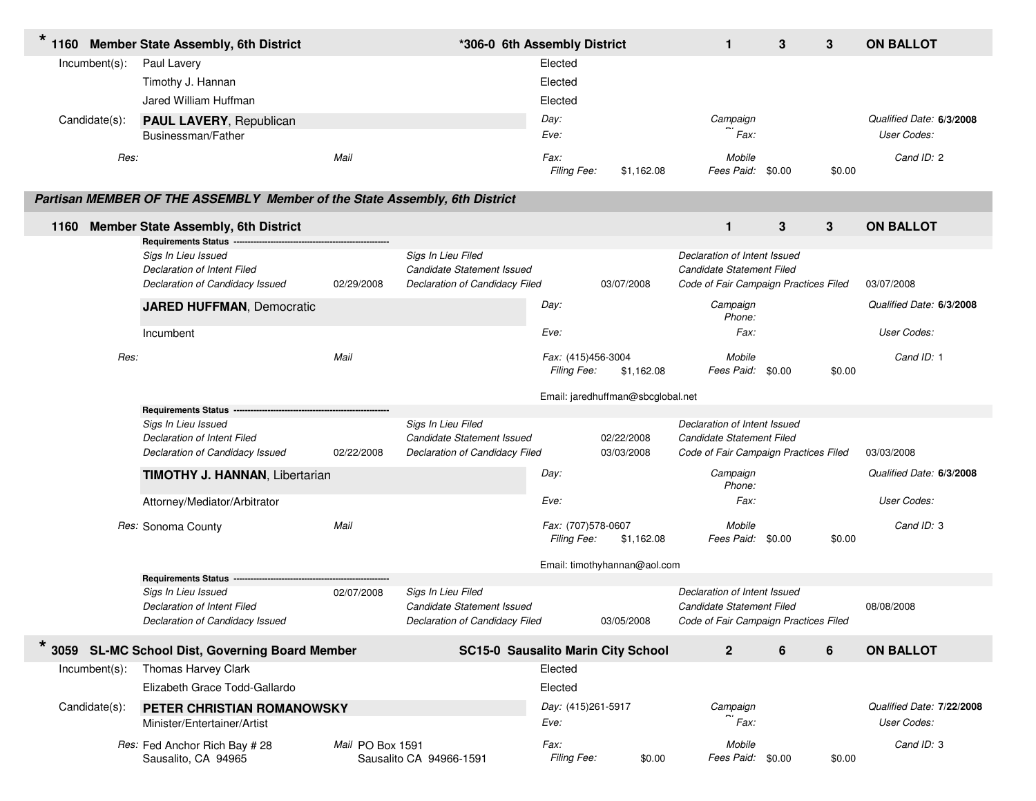| $\star$<br>1160  | <b>Member State Assembly, 6th District</b>                                 |                  | *306-0 6th Assembly District              |                     |                                   | $\mathbf{1}$                          | 3 | 3      | <b>ON BALLOT</b>          |
|------------------|----------------------------------------------------------------------------|------------------|-------------------------------------------|---------------------|-----------------------------------|---------------------------------------|---|--------|---------------------------|
| Incumbent(s):    | Paul Lavery                                                                |                  |                                           | Elected             |                                   |                                       |   |        |                           |
|                  | Timothy J. Hannan                                                          |                  |                                           | Elected             |                                   |                                       |   |        |                           |
|                  | Jared William Huffman                                                      |                  |                                           | Elected             |                                   |                                       |   |        |                           |
| Candidate(s):    | <b>PAUL LAVERY, Republican</b>                                             |                  |                                           | Day:                |                                   | Campaign                              |   |        | Qualified Date: 6/3/2008  |
|                  | Businessman/Father                                                         |                  |                                           | Eve:                |                                   | Fax:                                  |   |        | User Codes:               |
|                  |                                                                            |                  |                                           |                     |                                   |                                       |   |        |                           |
| Res:             |                                                                            | Mail             |                                           | Fax:<br>Filing Fee: | \$1,162.08                        | Mobile<br>Fees Paid: \$0.00           |   | \$0.00 | Cand ID: 2                |
|                  |                                                                            |                  |                                           |                     |                                   |                                       |   |        |                           |
|                  | Partisan MEMBER OF THE ASSEMBLY Member of the State Assembly, 6th District |                  |                                           |                     |                                   |                                       |   |        |                           |
| 1160             | <b>Member State Assembly, 6th District</b>                                 |                  |                                           |                     |                                   | $\mathbf{1}$                          | 3 | 3      | <b>ON BALLOT</b>          |
|                  | Requirements Status ----                                                   |                  |                                           |                     |                                   |                                       |   |        |                           |
|                  | Sigs In Lieu Issued                                                        |                  | Sigs In Lieu Filed                        |                     |                                   | Declaration of Intent Issued          |   |        |                           |
|                  | Declaration of Intent Filed                                                |                  | Candidate Statement Issued                |                     |                                   | Candidate Statement Filed             |   |        |                           |
|                  | Declaration of Candidacy Issued                                            | 02/29/2008       | Declaration of Candidacy Filed            |                     | 03/07/2008                        | Code of Fair Campaign Practices Filed |   |        | 03/07/2008                |
|                  | <b>JARED HUFFMAN, Democratic</b>                                           |                  |                                           | Day:                |                                   | Campaign<br>Phone:                    |   |        | Qualified Date: 6/3/2008  |
|                  | Incumbent                                                                  |                  |                                           | Eve:                |                                   | Fax:                                  |   |        | User Codes:               |
| Res:             |                                                                            | Mail             |                                           | Fax: (415)456-3004  |                                   | Mobile                                |   |        | Cand ID: 1                |
|                  |                                                                            |                  |                                           | Filing Fee:         | \$1,162.08                        | Fees Paid: \$0.00                     |   | \$0.00 |                           |
|                  |                                                                            |                  |                                           |                     | Email: jaredhuffman@sbcglobal.net |                                       |   |        |                           |
|                  | <b>Requirements Status</b>                                                 |                  |                                           |                     |                                   |                                       |   |        |                           |
|                  | Sigs In Lieu Issued                                                        |                  | Sigs In Lieu Filed                        |                     |                                   | Declaration of Intent Issued          |   |        |                           |
|                  | Declaration of Intent Filed                                                |                  | Candidate Statement Issued                |                     | 02/22/2008                        | Candidate Statement Filed             |   |        |                           |
|                  | Declaration of Candidacy Issued                                            | 02/22/2008       | Declaration of Candidacy Filed            |                     | 03/03/2008                        | Code of Fair Campaign Practices Filed |   |        | 03/03/2008                |
|                  | <b>TIMOTHY J. HANNAN, Libertarian</b>                                      |                  |                                           | Day:                |                                   | Campaign<br>Phone:                    |   |        | Qualified Date: 6/3/2008  |
|                  | Attorney/Mediator/Arbitrator                                               |                  |                                           | Eve:                |                                   | Fax:                                  |   |        | User Codes:               |
|                  | Res: Sonoma County                                                         | Mail             |                                           | Fax: (707)578-0607  |                                   | Mobile                                |   |        | Cand ID: 3                |
|                  |                                                                            |                  |                                           | Filing Fee:         | \$1,162.08                        | Fees Paid: \$0.00                     |   | \$0.00 |                           |
|                  |                                                                            |                  |                                           |                     | Email: timothyhannan@aol.com      |                                       |   |        |                           |
|                  | <b>Requirements Status</b>                                                 |                  |                                           |                     |                                   |                                       |   |        |                           |
|                  | Sigs In Lieu Issued                                                        | 02/07/2008       | Sigs In Lieu Filed                        |                     |                                   | Declaration of Intent Issued          |   |        |                           |
|                  | Declaration of Intent Filed                                                |                  | Candidate Statement Issued                |                     |                                   | Candidate Statement Filed             |   |        | 08/08/2008                |
|                  | Declaration of Candidacy Issued                                            |                  | Declaration of Candidacy Filed            |                     | 03/05/2008                        | Code of Fair Campaign Practices Filed |   |        |                           |
|                  | 3059 SL-MC School Dist, Governing Board Member                             |                  | <b>SC15-0 Sausalito Marin City School</b> |                     |                                   | $\mathbf{2}$                          | 6 | 6      | <b>ON BALLOT</b>          |
| $Incumbent(s)$ : | Thomas Harvey Clark                                                        |                  |                                           | Elected             |                                   |                                       |   |        |                           |
|                  | Elizabeth Grace Todd-Gallardo                                              |                  |                                           | Elected             |                                   |                                       |   |        |                           |
| Candidate(s):    | PETER CHRISTIAN ROMANOWSKY                                                 |                  |                                           | Day: (415)261-5917  |                                   | Campaign                              |   |        | Qualified Date: 7/22/2008 |
|                  | Minister/Entertainer/Artist                                                |                  |                                           | Eve:                |                                   | Fax:                                  |   |        | User Codes:               |
|                  | Res: Fed Anchor Rich Bay # 28                                              | Mail PO Box 1591 |                                           | Fax:                |                                   | Mobile                                |   |        | Cand ID: 3                |
|                  | Sausalito, CA 94965                                                        |                  | Sausalito CA 94966-1591                   | Filing Fee:         | \$0.00                            | Fees Paid: \$0.00                     |   | \$0.00 |                           |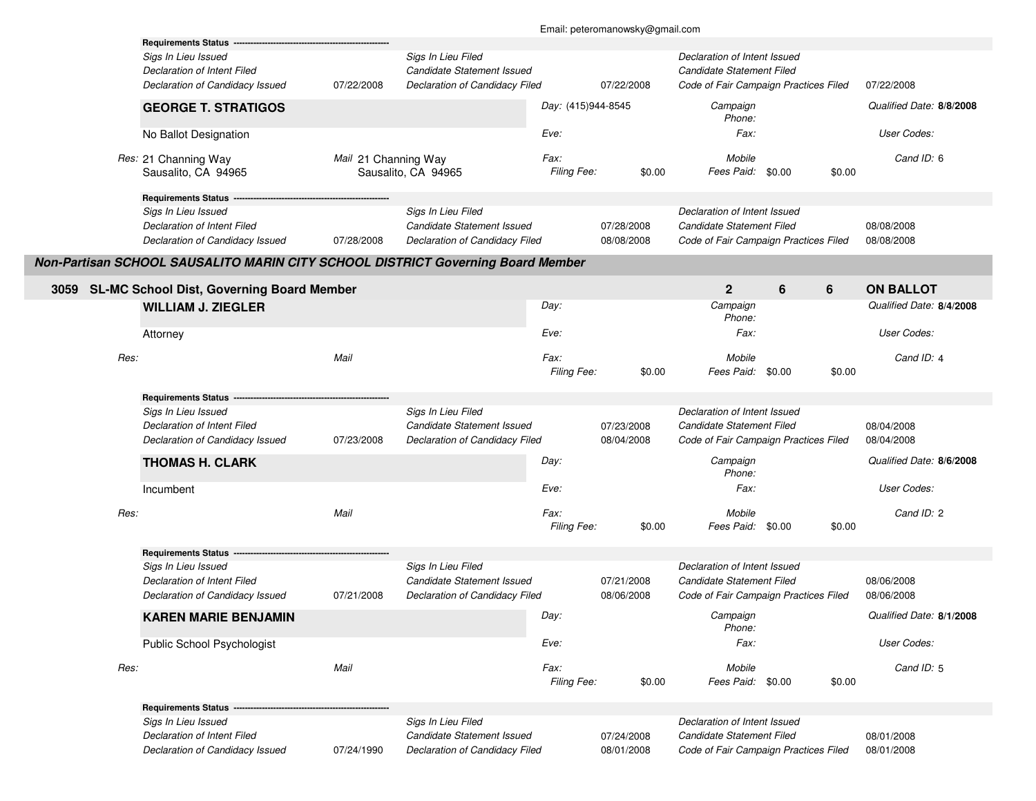|      |                                                                                                                     |                      |                                                                                    |                     | Email: peteromanowsky@gmail.com |                                                                                                    |   |        |                                              |
|------|---------------------------------------------------------------------------------------------------------------------|----------------------|------------------------------------------------------------------------------------|---------------------|---------------------------------|----------------------------------------------------------------------------------------------------|---|--------|----------------------------------------------|
|      | <b>Requirements Status</b><br>Sigs In Lieu Issued<br>Declaration of Intent Filed<br>Declaration of Candidacy Issued | 07/22/2008           | Sigs In Lieu Filed<br>Candidate Statement Issued<br>Declaration of Candidacy Filed |                     | 07/22/2008                      | Declaration of Intent Issued<br>Candidate Statement Filed<br>Code of Fair Campaign Practices Filed |   |        | 07/22/2008                                   |
|      | <b>GEORGE T. STRATIGOS</b>                                                                                          |                      |                                                                                    | Day: (415)944-8545  |                                 | Campaign<br>Phone:                                                                                 |   |        | Qualified Date: 8/8/2008                     |
|      | No Ballot Designation                                                                                               |                      |                                                                                    | Eve:                |                                 | Fax:                                                                                               |   |        | User Codes:                                  |
|      | Res: 21 Channing Way<br>Sausalito, CA 94965                                                                         | Mail 21 Channing Way | Sausalito, CA 94965                                                                | Fax:<br>Filing Fee: | \$0.00                          | Mobile<br>Fees Paid: \$0.00                                                                        |   | \$0.00 | Cand ID: 6                                   |
|      | Requirements Status ---<br>Sigs In Lieu Issued<br>Declaration of Intent Filed<br>Declaration of Candidacy Issued    | 07/28/2008           | Sigs In Lieu Filed<br>Candidate Statement Issued<br>Declaration of Candidacy Filed |                     | 07/28/2008<br>08/08/2008        | Declaration of Intent Issued<br>Candidate Statement Filed<br>Code of Fair Campaign Practices Filed |   |        | 08/08/2008<br>08/08/2008                     |
|      | Non-Partisan SCHOOL SAUSALITO MARIN CITY SCHOOL DISTRICT Governing Board Member                                     |                      |                                                                                    |                     |                                 |                                                                                                    |   |        |                                              |
|      | 3059 SL-MC School Dist, Governing Board Member<br><b>WILLIAM J. ZIEGLER</b>                                         |                      |                                                                                    | Day:                |                                 | $\mathbf 2$<br>Campaign<br>Phone:                                                                  | 6 | 6      | <b>ON BALLOT</b><br>Qualified Date: 8/4/2008 |
|      | Attorney                                                                                                            |                      |                                                                                    | Eve:                |                                 | Fax:                                                                                               |   |        | User Codes:                                  |
| Res: |                                                                                                                     | Mail                 |                                                                                    | Fax:<br>Filing Fee: | \$0.00                          | Mobile<br>Fees Paid: \$0.00                                                                        |   | \$0.00 | Cand ID: 4                                   |
|      | <b>Requirements Status</b>                                                                                          |                      |                                                                                    |                     |                                 |                                                                                                    |   |        |                                              |
|      | Sigs In Lieu Issued<br>Declaration of Intent Filed<br>Declaration of Candidacy Issued                               | 07/23/2008           | Sigs In Lieu Filed<br>Candidate Statement Issued<br>Declaration of Candidacy Filed |                     | 07/23/2008<br>08/04/2008        | Declaration of Intent Issued<br>Candidate Statement Filed<br>Code of Fair Campaign Practices Filed |   |        | 08/04/2008<br>08/04/2008                     |
|      | <b>THOMAS H. CLARK</b>                                                                                              |                      |                                                                                    | Day:                |                                 | Campaign<br>Phone:                                                                                 |   |        | Qualified Date: 8/6/2008                     |
|      | Incumbent                                                                                                           |                      |                                                                                    | Eve:                |                                 | Fax:                                                                                               |   |        | User Codes:                                  |
| Res: |                                                                                                                     | Mail                 |                                                                                    | Fax:<br>Filing Fee: | \$0.00                          | Mobile<br>Fees Paid: \$0.00                                                                        |   | \$0.00 | Cand ID: 2                                   |
|      | <b>Requirements Status</b><br>Sigs In Lieu Issued<br>Declaration of Intent Filed<br>Declaration of Candidacy Issued | 07/21/2008           | Sigs In Lieu Filed<br>Candidate Statement Issued<br>Declaration of Candidacy Filed |                     | 07/21/2008<br>08/06/2008        | Declaration of Intent Issued<br>Candidate Statement Filed<br>Code of Fair Campaign Practices Filed |   |        | 08/06/2008<br>08/06/2008                     |
|      | <b>KAREN MARIE BENJAMIN</b>                                                                                         |                      |                                                                                    | Day:                |                                 | Campaign                                                                                           |   |        | Qualified Date: 8/1/2008                     |
|      |                                                                                                                     |                      |                                                                                    |                     |                                 | Phone:                                                                                             |   |        |                                              |
|      | Public School Psychologist                                                                                          |                      |                                                                                    | Eve:                |                                 | Fax:                                                                                               |   |        | User Codes:                                  |
| Res: |                                                                                                                     | Mail                 |                                                                                    | Fax:<br>Filing Fee: | \$0.00                          | Mobile<br>Fees Paid: \$0.00                                                                        |   | \$0.00 | Cand ID: 5                                   |
|      | <b>Requirements Status --</b><br>Sigs In Lieu Issued                                                                |                      | Sigs In Lieu Filed                                                                 |                     |                                 | Declaration of Intent Issued                                                                       |   |        |                                              |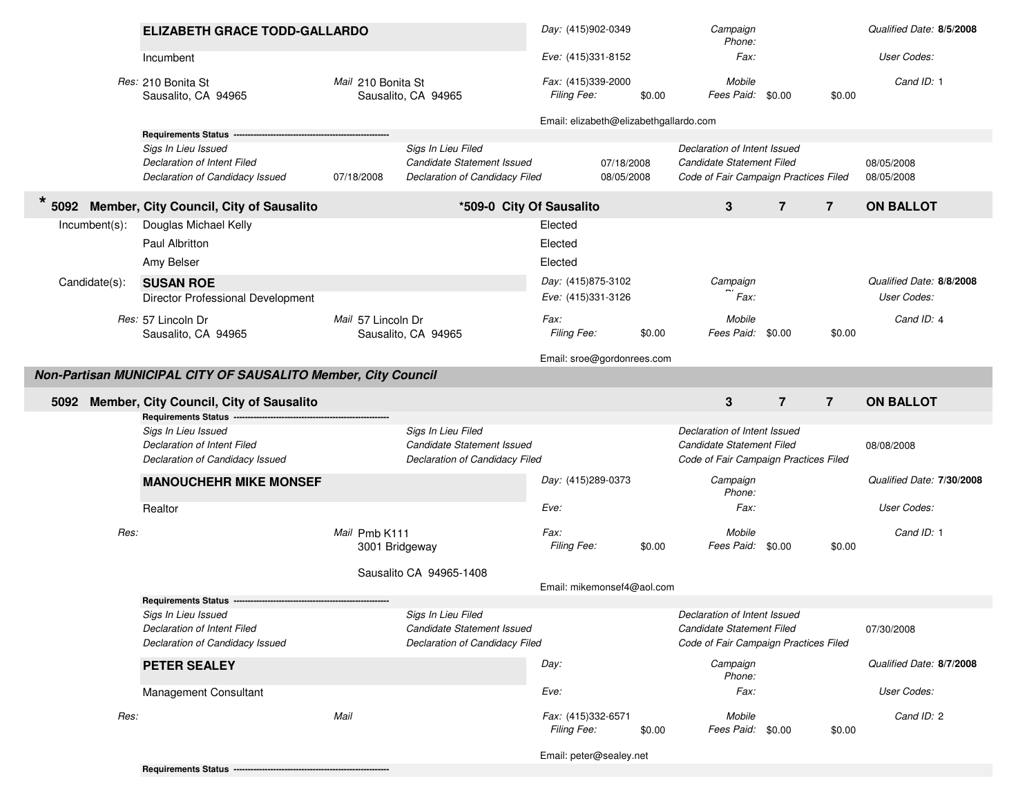|                  | <b>ELIZABETH GRACE TODD-GALLARDO</b>                                                                              |                                 |                                                                                    | Day: (415)902-0349                                                          |        | Campaign<br>Phone:                                                                                 |                | Qualified Date: 8/5/2008 |                                         |
|------------------|-------------------------------------------------------------------------------------------------------------------|---------------------------------|------------------------------------------------------------------------------------|-----------------------------------------------------------------------------|--------|----------------------------------------------------------------------------------------------------|----------------|--------------------------|-----------------------------------------|
|                  | Incumbent                                                                                                         |                                 |                                                                                    | Eve: (415)331-8152                                                          |        | Fax:                                                                                               |                |                          | User Codes:                             |
|                  | Res: 210 Bonita St<br>Sausalito, CA 94965                                                                         | Mail 210 Bonita St              | Sausalito, CA 94965                                                                | Fax: (415)339-2000<br>Filing Fee:<br>Email: elizabeth@elizabethgallardo.com | \$0.00 | Mobile<br>Fees Paid: \$0.00                                                                        |                | \$0.00                   | Cand ID: 1                              |
|                  | <b>Requirements Status</b>                                                                                        |                                 |                                                                                    |                                                                             |        |                                                                                                    |                |                          |                                         |
|                  | Sigs In Lieu Issued<br>Declaration of Intent Filed<br>Declaration of Candidacy Issued                             | 07/18/2008                      | Sigs In Lieu Filed<br>Candidate Statement Issued<br>Declaration of Candidacy Filed | 07/18/2008<br>08/05/2008                                                    |        | Declaration of Intent Issued<br>Candidate Statement Filed<br>Code of Fair Campaign Practices Filed |                |                          | 08/05/2008<br>08/05/2008                |
| $\star$          | 5092 Member, City Council, City of Sausalito                                                                      | *509-0 City Of Sausalito        |                                                                                    |                                                                             |        | 3                                                                                                  | $\overline{7}$ | $\overline{7}$           | <b>ON BALLOT</b>                        |
| $Incumbent(s)$ : | Douglas Michael Kelly<br>Paul Albritton<br>Amy Belser                                                             |                                 |                                                                                    | Elected<br>Elected<br>Elected                                               |        |                                                                                                    |                |                          |                                         |
| Candidate(s):    | <b>SUSAN ROE</b><br>Director Professional Development                                                             |                                 |                                                                                    | Day: (415)875-3102<br>Eve: (415)331-3126                                    |        | Campaign<br>Fax:                                                                                   |                |                          | Qualified Date: 8/8/2008<br>User Codes: |
|                  | Res: 57 Lincoln Dr<br>Sausalito, CA 94965                                                                         | Mail 57 Lincoln Dr              | Sausalito, CA 94965                                                                | Fax:<br>Filing Fee:                                                         | \$0.00 | Mobile<br>Fees Paid:                                                                               | \$0.00         | \$0.00                   | Cand ID: 4                              |
|                  |                                                                                                                   |                                 |                                                                                    | Email: sroe@gordonrees.com                                                  |        |                                                                                                    |                |                          |                                         |
|                  | Non-Partisan MUNICIPAL CITY OF SAUSALITO Member, City Council                                                     |                                 |                                                                                    |                                                                             |        |                                                                                                    |                |                          |                                         |
|                  | <b>Member, City Council, City of Sausalito</b>                                                                    |                                 |                                                                                    |                                                                             |        |                                                                                                    |                |                          |                                         |
| 5092             |                                                                                                                   |                                 |                                                                                    |                                                                             |        | 3                                                                                                  | $\overline{7}$ | $\overline{7}$           | <b>ON BALLOT</b>                        |
|                  | Requirements Status ----<br>Sigs In Lieu Issued<br>Declaration of Intent Filed<br>Declaration of Candidacy Issued |                                 | Sigs In Lieu Filed<br>Candidate Statement Issued<br>Declaration of Candidacy Filed |                                                                             |        | Declaration of Intent Issued<br>Candidate Statement Filed<br>Code of Fair Campaign Practices Filed |                |                          | 08/08/2008                              |
|                  | <b>MANOUCHEHR MIKE MONSEF</b>                                                                                     |                                 |                                                                                    | Day: (415)289-0373                                                          |        | Campaign<br>Phone:                                                                                 |                |                          | Qualified Date: 7/30/2008               |
|                  | Realtor                                                                                                           |                                 |                                                                                    | Eve:                                                                        |        | Fax:                                                                                               |                |                          | User Codes:                             |
| Res:             |                                                                                                                   | Mail Pmb K111<br>3001 Bridgeway |                                                                                    | Fax:<br>Filing Fee:                                                         | \$0.00 | Mobile<br>Fees Paid: \$0.00                                                                        |                | \$0.00                   | Cand ID: 1                              |
|                  |                                                                                                                   |                                 | Sausalito CA 94965-1408                                                            | Email: mikemonsef4@aol.com                                                  |        |                                                                                                    |                |                          |                                         |
|                  | <b>Requirements Status --</b>                                                                                     |                                 |                                                                                    |                                                                             |        |                                                                                                    |                |                          |                                         |
|                  | Sigs In Lieu Issued<br>Declaration of Intent Filed<br>Declaration of Candidacy Issued                             |                                 | Sigs In Lieu Filed<br>Candidate Statement Issued<br>Declaration of Candidacy Filed |                                                                             |        | Declaration of Intent Issued<br>Candidate Statement Filed<br>Code of Fair Campaign Practices Filed |                |                          | 07/30/2008                              |
|                  | PETER SEALEY                                                                                                      |                                 |                                                                                    | Day:                                                                        |        | Campaign<br>Phone:                                                                                 |                |                          | Qualified Date: 8/7/2008                |
|                  | <b>Management Consultant</b>                                                                                      |                                 |                                                                                    | Eve:                                                                        |        | Fax:                                                                                               |                |                          | User Codes:                             |
| Res:             |                                                                                                                   | Mail                            |                                                                                    | Fax: (415)332-6571<br>Filing Fee:                                           | \$0.00 | Mobile<br>Fees Paid: \$0.00                                                                        |                | \$0.00                   | Cand ID: 2                              |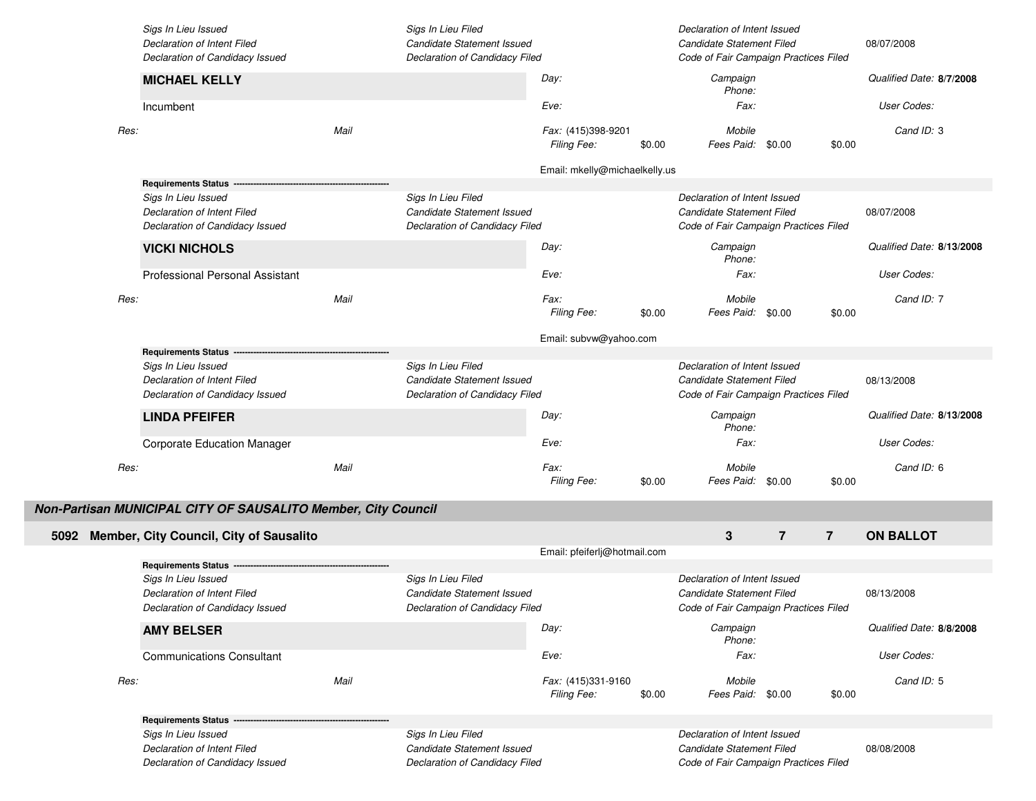|      | Sigs In Lieu Issued<br>Declaration of Intent Filed             |      | Sigs In Lieu Filed<br>Candidate Statement Issued             |                                   |        | Declaration of Intent Issued<br>Candidate Statement Filed          |                |                | 08/07/2008                |
|------|----------------------------------------------------------------|------|--------------------------------------------------------------|-----------------------------------|--------|--------------------------------------------------------------------|----------------|----------------|---------------------------|
|      | Declaration of Candidacy Issued                                |      | Declaration of Candidacy Filed                               |                                   |        | Code of Fair Campaign Practices Filed                              |                |                |                           |
|      | <b>MICHAEL KELLY</b>                                           |      |                                                              | Day:                              |        | Campaign<br>Phone:                                                 |                |                | Qualified Date: 8/7/2008  |
|      | Incumbent                                                      |      |                                                              | Eve:                              |        | Fax:                                                               |                |                | User Codes:               |
| Res: |                                                                | Mail |                                                              | Fax: (415)398-9201<br>Filing Fee: | \$0.00 | Mobile<br>Fees Paid: \$0.00                                        |                | \$0.00         | Cand ID: 3                |
|      |                                                                |      |                                                              | Email: mkelly@michaelkelly.us     |        |                                                                    |                |                |                           |
|      | Requirements Status -                                          |      |                                                              |                                   |        |                                                                    |                |                |                           |
|      | Sigs In Lieu Issued                                            |      | Sigs In Lieu Filed                                           |                                   |        | Declaration of Intent Issued                                       |                |                |                           |
|      | Declaration of Intent Filed<br>Declaration of Candidacy Issued |      | Candidate Statement Issued<br>Declaration of Candidacy Filed |                                   |        | Candidate Statement Filed<br>Code of Fair Campaign Practices Filed |                |                | 08/07/2008                |
|      | <b>VICKI NICHOLS</b>                                           |      |                                                              | Day:                              |        | Campaign<br>Phone:                                                 |                |                | Qualified Date: 8/13/2008 |
|      | <b>Professional Personal Assistant</b>                         |      |                                                              | Eve:                              |        | Fax:                                                               |                |                | User Codes:               |
| Res: |                                                                | Mail |                                                              | Fax:<br>Filing Fee:               | \$0.00 | Mobile<br>Fees Paid: \$0.00                                        |                | \$0.00         | Cand ID: 7                |
|      |                                                                |      |                                                              | Email: subvw@yahoo.com            |        |                                                                    |                |                |                           |
|      | <b>Requirements Status</b>                                     |      |                                                              |                                   |        |                                                                    |                |                |                           |
|      | Sigs In Lieu Issued                                            |      | Sigs In Lieu Filed                                           |                                   |        | Declaration of Intent Issued                                       |                |                |                           |
|      | Declaration of Intent Filed                                    |      | Candidate Statement Issued                                   |                                   |        | Candidate Statement Filed                                          |                |                | 08/13/2008                |
|      | Declaration of Candidacy Issued                                |      | Declaration of Candidacy Filed                               |                                   |        | Code of Fair Campaign Practices Filed                              |                |                |                           |
|      | <b>LINDA PFEIFER</b>                                           |      |                                                              | Day:                              |        | Campaign<br>Phone:                                                 |                |                | Qualified Date: 8/13/2008 |
|      | <b>Corporate Education Manager</b>                             |      |                                                              | Eve:                              |        | Fax:                                                               |                |                | User Codes:               |
| Res: |                                                                | Mail |                                                              | Fax:                              |        | Mobile                                                             |                |                | Cand ID: 6                |
|      |                                                                |      |                                                              | Filing Fee:                       | \$0.00 | Fees Paid: \$0.00                                                  |                | \$0.00         |                           |
|      | Non-Partisan MUNICIPAL CITY OF SAUSALITO Member, City Council  |      |                                                              |                                   |        |                                                                    |                |                |                           |
| 5092 | Member, City Council, City of Sausalito                        |      |                                                              |                                   |        | $\mathbf{3}$                                                       | $\overline{7}$ | $\overline{7}$ | <b>ON BALLOT</b>          |
|      |                                                                |      |                                                              | Email: pfeiferlj@hotmail.com      |        |                                                                    |                |                |                           |
|      | Requirements Status -                                          |      |                                                              |                                   |        |                                                                    |                |                |                           |
|      | Sigs In Lieu Issued                                            |      | Sigs In Lieu Filed                                           |                                   |        | Declaration of Intent Issued                                       |                |                |                           |
|      | Declaration of Intent Filed                                    |      | Candidate Statement Issued<br>Declaration of Candidacy Filed |                                   |        | Candidate Statement Filed                                          |                |                | 08/13/2008                |
|      | Declaration of Candidacy Issued                                |      |                                                              | Day:                              |        | Code of Fair Campaign Practices Filed<br>Campaign                  |                |                | Qualified Date: 8/8/2008  |
|      | <b>AMY BELSER</b>                                              |      |                                                              |                                   |        | Phone:                                                             |                |                |                           |
|      | <b>Communications Consultant</b>                               |      |                                                              | Eve:                              |        | Fax:                                                               |                |                | User Codes:               |
| Res: |                                                                | Mail |                                                              | Fax: (415)331-9160<br>Filing Fee: | \$0.00 | Mobile<br>Fees Paid: \$0.00                                        |                | \$0.00         | Cand ID: 5                |
|      | <b>Requirements Status -</b>                                   |      |                                                              |                                   |        |                                                                    |                |                |                           |
|      | Sigs In Lieu Issued                                            |      | Sigs In Lieu Filed                                           |                                   |        | Declaration of Intent Issued                                       |                |                |                           |
|      | Declaration of Intent Filed                                    |      | Candidate Statement Issued                                   |                                   |        | Candidate Statement Filed                                          |                |                | 08/08/2008                |
|      | Declaration of Candidacy Issued                                |      | Declaration of Candidacy Filed                               |                                   |        | Code of Fair Campaign Practices Filed                              |                |                |                           |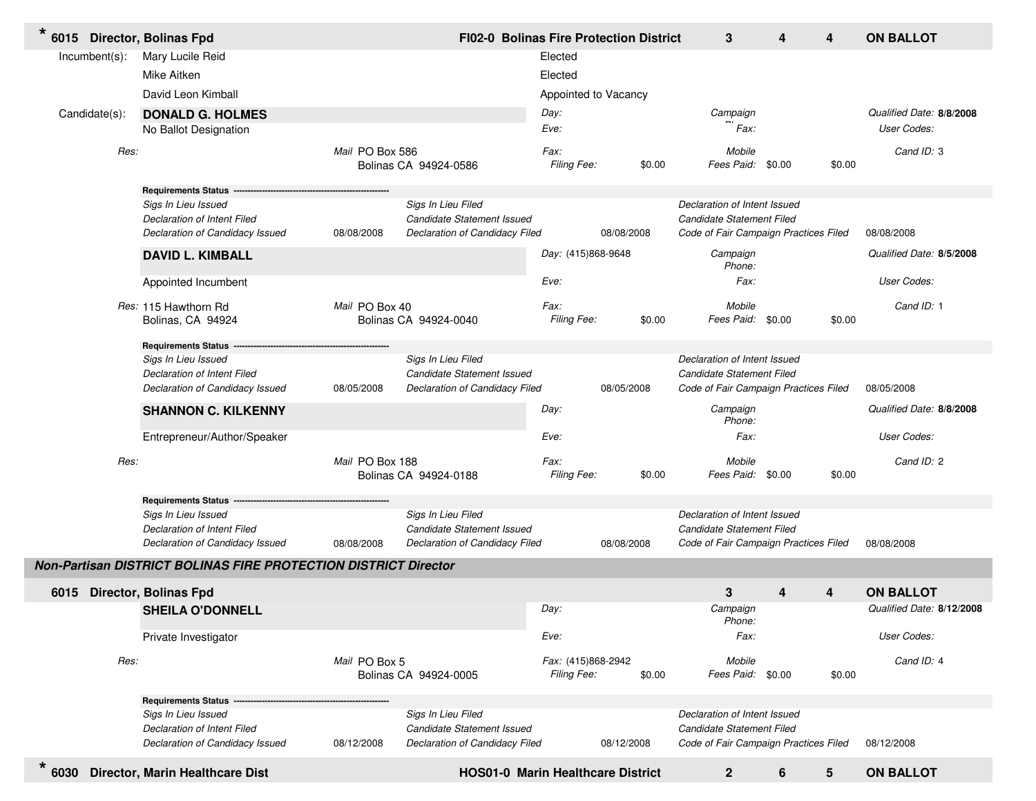| $\star$          |      | 6015 Director, Bolinas Fpd                                      |                 | FI02-0 Bolinas Fire Protection District                      |                                   |            | 3                                                                  | 4 | 4                       | <b>ON BALLOT</b>          |
|------------------|------|-----------------------------------------------------------------|-----------------|--------------------------------------------------------------|-----------------------------------|------------|--------------------------------------------------------------------|---|-------------------------|---------------------------|
| $Incumbent(s)$ : |      | Mary Lucile Reid                                                |                 |                                                              | Elected                           |            |                                                                    |   |                         |                           |
|                  |      | Mike Aitken                                                     |                 |                                                              | Elected                           |            |                                                                    |   |                         |                           |
|                  |      | David Leon Kimball                                              |                 |                                                              | Appointed to Vacancy              |            |                                                                    |   |                         |                           |
| Candidate(s):    |      | <b>DONALD G. HOLMES</b>                                         |                 |                                                              | Day:                              |            | Campaign                                                           |   |                         | Qualified Date: 8/8/2008  |
|                  |      | No Ballot Designation                                           |                 |                                                              | Eve:                              |            | Fax:                                                               |   |                         | User Codes:               |
|                  | Res: |                                                                 | Mail PO Box 586 | Bolinas CA 94924-0586                                        | Fax:<br>Filing Fee:               | \$0.00     | Mobile<br>Fees Paid: \$0.00                                        |   | \$0.00                  | Cand ID: 3                |
|                  |      | Requirements Status ---                                         |                 |                                                              |                                   |            |                                                                    |   |                         |                           |
|                  |      | Sigs In Lieu Issued<br>Declaration of Intent Filed              |                 | Sigs In Lieu Filed<br>Candidate Statement Issued             |                                   |            | Declaration of Intent Issued<br>Candidate Statement Filed          |   |                         |                           |
|                  |      | Declaration of Candidacy Issued                                 | 08/08/2008      | Declaration of Candidacy Filed                               |                                   | 08/08/2008 | Code of Fair Campaign Practices Filed                              |   |                         | 08/08/2008                |
|                  |      | <b>DAVID L. KIMBALL</b>                                         |                 |                                                              | Day: (415)868-9648                |            | Campaign<br>Phone:                                                 |   |                         | Qualified Date: 8/5/2008  |
|                  |      | Appointed Incumbent                                             |                 |                                                              | Eve:                              |            | Fax:                                                               |   |                         | User Codes:               |
|                  |      | Res: 115 Hawthorn Rd<br>Bolinas, CA 94924                       | Mail PO Box 40  | Bolinas CA 94924-0040                                        | Fax:<br>Filing Fee:               | \$0.00     | Mobile<br>Fees Paid: \$0.00                                        |   | \$0.00                  | Cand ID: 1                |
|                  |      | <b>Requirements Status</b>                                      |                 |                                                              |                                   |            |                                                                    |   |                         |                           |
|                  |      | Sigs In Lieu Issued                                             |                 | Sigs In Lieu Filed                                           |                                   |            | Declaration of Intent Issued                                       |   |                         |                           |
|                  |      | Declaration of Intent Filed<br>Declaration of Candidacy Issued  | 08/05/2008      | Candidate Statement Issued<br>Declaration of Candidacy Filed |                                   | 08/05/2008 | Candidate Statement Filed<br>Code of Fair Campaign Practices Filed |   |                         | 08/05/2008                |
|                  |      |                                                                 |                 |                                                              |                                   |            |                                                                    |   |                         |                           |
|                  |      | <b>SHANNON C. KILKENNY</b>                                      |                 |                                                              | Day:                              |            | Campaign<br>Phone:                                                 |   |                         | Qualified Date: 8/8/2008  |
|                  |      | Entrepreneur/Author/Speaker                                     |                 |                                                              | Eve:                              |            | Fax:                                                               |   |                         | User Codes:               |
|                  | Res: |                                                                 | Mail PO Box 188 | Bolinas CA 94924-0188                                        | Fax:<br>Filing Fee:               | \$0.00     | Mobile<br>Fees Paid: \$0.00                                        |   | \$0.00                  | Cand ID: 2                |
|                  |      | Requirements Status --                                          |                 |                                                              |                                   |            |                                                                    |   |                         |                           |
|                  |      | Sigs In Lieu Issued                                             |                 | Sigs In Lieu Filed                                           |                                   |            | Declaration of Intent Issued                                       |   |                         |                           |
|                  |      | Declaration of Intent Filed<br>Declaration of Candidacy Issued  | 08/08/2008      | Candidate Statement Issued<br>Declaration of Candidacy Filed |                                   | 08/08/2008 | Candidate Statement Filed<br>Code of Fair Campaign Practices Filed |   |                         | 08/08/2008                |
|                  |      | Non-Partisan DISTRICT BOLINAS FIRE PROTECTION DISTRICT Director |                 |                                                              |                                   |            |                                                                    |   |                         |                           |
| 6015             |      | Director, Bolinas Fpd                                           |                 |                                                              |                                   |            | 3                                                                  | 4 | 4                       | <b>ON BALLOT</b>          |
|                  |      | <b>SHEILA O'DONNELL</b>                                         |                 |                                                              | Day:                              |            | Campaign<br>Phone:                                                 |   |                         | Qualified Date: 8/12/2008 |
|                  |      | Private Investigator                                            |                 |                                                              | Eve:                              |            | Fax:                                                               |   |                         | User Codes:               |
|                  | Res: |                                                                 | Mail PO Box 5   | Bolinas CA 94924-0005                                        | Fax: (415)868-2942<br>Filing Fee: | \$0.00     | Mobile<br>Fees Paid: \$0.00                                        |   | \$0.00                  | Cand ID: 4                |
|                  |      | <b>Requirements Status</b>                                      |                 |                                                              |                                   |            |                                                                    |   |                         |                           |
|                  |      | Sigs In Lieu Issued                                             |                 | Sigs In Lieu Filed                                           |                                   |            | Declaration of Intent Issued                                       |   |                         |                           |
|                  |      | Declaration of Intent Filed<br>Declaration of Candidacy Issued  | 08/12/2008      | Candidate Statement Issued<br>Declaration of Candidacy Filed |                                   | 08/12/2008 | Candidate Statement Filed<br>Code of Fair Campaign Practices Filed |   |                         | 08/12/2008                |
| $\star$<br>6030  |      | Director, Marin Healthcare Dist                                 |                 | <b>HOS01-0 Marin Healthcare District</b>                     |                                   |            | $\mathbf{2}$                                                       | 6 | $\overline{\mathbf{5}}$ | <b>ON BALLOT</b>          |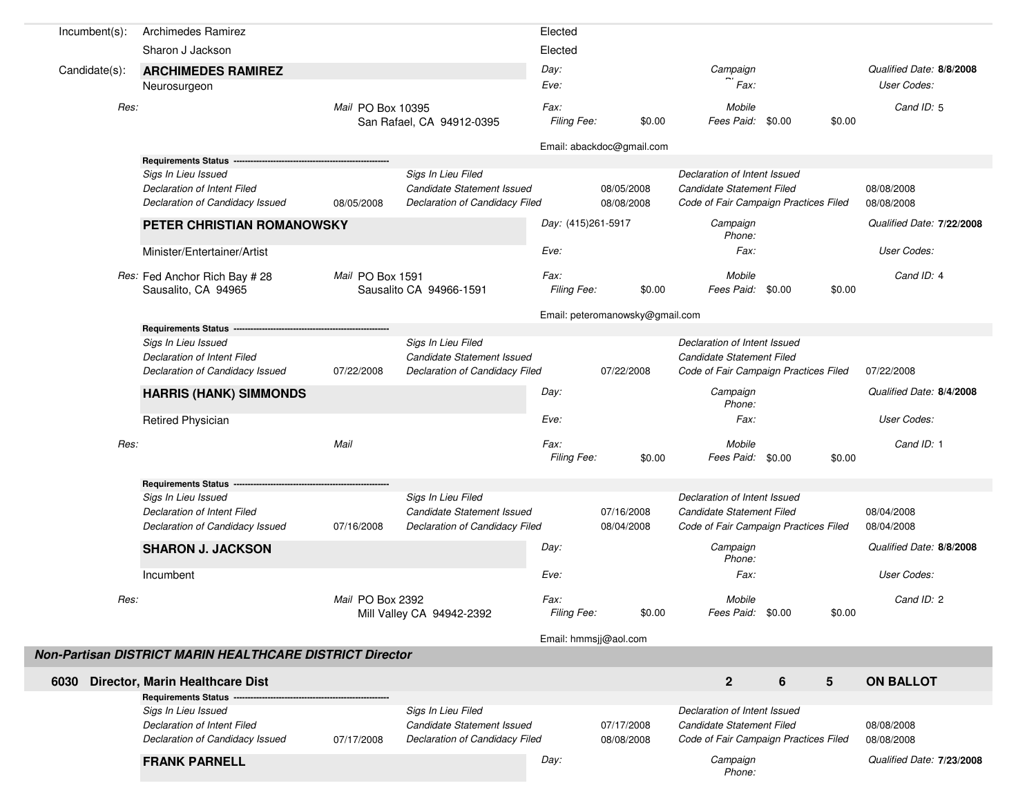| $Incumbent(s)$ : | <b>Archimedes Ramirez</b>                                |                   |                                | Elected               |                                 |                                       |                  |        |                           |  |
|------------------|----------------------------------------------------------|-------------------|--------------------------------|-----------------------|---------------------------------|---------------------------------------|------------------|--------|---------------------------|--|
|                  | Sharon J Jackson                                         |                   |                                | Elected               |                                 |                                       |                  |        |                           |  |
| Candidate(s):    | <b>ARCHIMEDES RAMIREZ</b>                                |                   |                                | Day:                  |                                 | Campaign                              |                  |        | Qualified Date: 8/8/2008  |  |
|                  | Neurosurgeon                                             |                   |                                | Eve:                  |                                 | Fax:                                  |                  |        | User Codes:               |  |
| Res:             |                                                          | Mail PO Box 10395 |                                | Fax:                  |                                 | Mobile                                |                  |        | Cand ID: 5                |  |
|                  |                                                          |                   | San Rafael, CA 94912-0395      | Filing Fee:           | \$0.00                          | Fees Paid: \$0.00                     |                  | \$0.00 |                           |  |
|                  |                                                          |                   |                                |                       | Email: abackdoc@gmail.com       |                                       |                  |        |                           |  |
|                  | <b>Requirements Status</b>                               |                   |                                |                       |                                 |                                       |                  |        |                           |  |
|                  | Sigs In Lieu Issued                                      |                   | Sigs In Lieu Filed             |                       |                                 | Declaration of Intent Issued          |                  |        |                           |  |
|                  | Declaration of Intent Filed                              |                   | Candidate Statement Issued     |                       | 08/05/2008                      | Candidate Statement Filed             |                  |        | 08/08/2008                |  |
|                  | Declaration of Candidacy Issued                          | 08/05/2008        | Declaration of Candidacy Filed |                       | 08/08/2008                      | Code of Fair Campaign Practices Filed |                  |        | 08/08/2008                |  |
|                  | PETER CHRISTIAN ROMANOWSKY                               |                   |                                | Day: (415)261-5917    |                                 | Campaign<br>Phone:                    |                  |        | Qualified Date: 7/22/2008 |  |
|                  | Minister/Entertainer/Artist                              |                   |                                | Eve:                  |                                 | Fax:                                  |                  |        | User Codes:               |  |
|                  | Res: Fed Anchor Rich Bay # 28                            | Mail PO Box 1591  |                                | Fax:                  |                                 | Mobile                                |                  |        | Cand ID: 4                |  |
|                  | Sausalito, CA 94965                                      |                   | Sausalito CA 94966-1591        | Filing Fee:           | \$0.00                          | Fees Paid: \$0.00                     |                  | \$0.00 |                           |  |
|                  |                                                          |                   |                                |                       | Email: peteromanowsky@gmail.com |                                       |                  |        |                           |  |
|                  | Requirements Status ----                                 |                   |                                |                       |                                 |                                       |                  |        |                           |  |
|                  | Sigs In Lieu Issued                                      |                   | Sigs In Lieu Filed             |                       |                                 | Declaration of Intent Issued          |                  |        |                           |  |
|                  | Declaration of Intent Filed                              |                   | Candidate Statement Issued     |                       |                                 | Candidate Statement Filed             |                  |        |                           |  |
|                  | Declaration of Candidacy Issued                          | 07/22/2008        | Declaration of Candidacy Filed |                       | 07/22/2008                      | Code of Fair Campaign Practices Filed |                  |        | 07/22/2008                |  |
|                  | <b>HARRIS (HANK) SIMMONDS</b>                            |                   |                                | Day:                  |                                 | Campaign<br>Phone:                    |                  |        | Qualified Date: 8/4/2008  |  |
|                  | <b>Retired Physician</b>                                 |                   |                                | Eve:                  |                                 | Fax:                                  |                  |        | User Codes:               |  |
| Res:             |                                                          | Mail              |                                | Fax:                  |                                 | Mobile                                |                  |        | Cand ID: 1                |  |
|                  |                                                          |                   |                                | Filing Fee:           | \$0.00                          | Fees Paid: \$0.00                     |                  | \$0.00 |                           |  |
|                  | <b>Requirements Status</b>                               |                   |                                |                       |                                 |                                       |                  |        |                           |  |
|                  | Sigs In Lieu Issued                                      |                   | Sigs In Lieu Filed             |                       |                                 | Declaration of Intent Issued          |                  |        |                           |  |
|                  | Declaration of Intent Filed                              |                   | Candidate Statement Issued     |                       | 07/16/2008                      | Candidate Statement Filed             |                  |        | 08/04/2008                |  |
|                  | Declaration of Candidacy Issued                          | 07/16/2008        | Declaration of Candidacy Filed |                       | 08/04/2008                      | Code of Fair Campaign Practices Filed |                  |        | 08/04/2008                |  |
|                  | <b>SHARON J. JACKSON</b>                                 |                   |                                | Day:                  |                                 | Campaign<br>Phone:                    |                  |        | Qualified Date: 8/8/2008  |  |
|                  | Incumbent                                                |                   |                                | Eve:                  |                                 | Fax:                                  |                  |        | User Codes:               |  |
| Res:             |                                                          | Mail PO Box 2392  |                                | Fax:                  |                                 | Mobile                                |                  |        | Cand ID: 2                |  |
|                  |                                                          |                   | Mill Valley CA 94942-2392      | Filing Fee:           | \$0.00                          | Fees Paid: \$0.00                     |                  | \$0.00 |                           |  |
|                  |                                                          |                   |                                | Email: hmmsjj@aol.com |                                 |                                       |                  |        |                           |  |
|                  | Non-Partisan DISTRICT MARIN HEALTHCARE DISTRICT Director |                   |                                |                       |                                 |                                       |                  |        |                           |  |
|                  |                                                          |                   |                                |                       |                                 |                                       |                  |        |                           |  |
|                  | 6030 Director, Marin Healthcare Dist                     |                   |                                |                       |                                 | $\overline{2}$                        | $\boldsymbol{6}$ | 5      | <b>ON BALLOT</b>          |  |
|                  | Requirements Status -<br>Sigs In Lieu Issued             |                   | Sigs In Lieu Filed             |                       |                                 | Declaration of Intent Issued          |                  |        |                           |  |
|                  | Declaration of Intent Filed                              |                   | Candidate Statement Issued     |                       | 07/17/2008                      | Candidate Statement Filed             |                  |        | 08/08/2008                |  |
|                  | Declaration of Candidacy Issued                          | 07/17/2008        | Declaration of Candidacy Filed |                       | 08/08/2008                      | Code of Fair Campaign Practices Filed |                  |        | 08/08/2008                |  |
|                  | <b>FRANK PARNELL</b>                                     |                   |                                | Day:                  |                                 | Campaign                              |                  |        | Qualified Date: 7/23/2008 |  |
|                  |                                                          |                   |                                |                       |                                 | Phone:                                |                  |        |                           |  |
|                  |                                                          |                   |                                |                       |                                 |                                       |                  |        |                           |  |